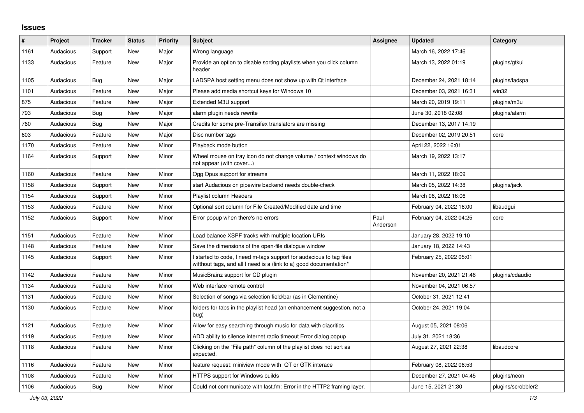## **Issues**

| ∦    | Project   | <b>Tracker</b> | <b>Status</b> | <b>Priority</b> | <b>Subject</b>                                                                                                                            | Assignee         | <b>Updated</b>          | Category           |
|------|-----------|----------------|---------------|-----------------|-------------------------------------------------------------------------------------------------------------------------------------------|------------------|-------------------------|--------------------|
| 1161 | Audacious | Support        | <b>New</b>    | Major           | Wrong language                                                                                                                            |                  | March 16, 2022 17:46    |                    |
| 1133 | Audacious | Feature        | New           | Major           | Provide an option to disable sorting playlists when you click column<br>header                                                            |                  | March 13, 2022 01:19    | plugins/gtkui      |
| 1105 | Audacious | Bug            | <b>New</b>    | Major           | LADSPA host setting menu does not show up with Qt interface                                                                               |                  | December 24, 2021 18:14 | plugins/ladspa     |
| 1101 | Audacious | Feature        | <b>New</b>    | Major           | Please add media shortcut keys for Windows 10                                                                                             |                  | December 03, 2021 16:31 | win32              |
| 875  | Audacious | Feature        | <b>New</b>    | Major           | Extended M3U support                                                                                                                      |                  | March 20, 2019 19:11    | plugins/m3u        |
| 793  | Audacious | Bug            | New           | Major           | alarm plugin needs rewrite                                                                                                                |                  | June 30, 2018 02:08     | plugins/alarm      |
| 760  | Audacious | <b>Bug</b>     | <b>New</b>    | Major           | Credits for some pre-Transifex translators are missing                                                                                    |                  | December 13, 2017 14:19 |                    |
| 603  | Audacious | Feature        | <b>New</b>    | Major           | Disc number tags                                                                                                                          |                  | December 02, 2019 20:51 | core               |
| 1170 | Audacious | Feature        | <b>New</b>    | Minor           | Playback mode button                                                                                                                      |                  | April 22, 2022 16:01    |                    |
| 1164 | Audacious | Support        | New           | Minor           | Wheel mouse on tray icon do not change volume / context windows do<br>not appear (with cover)                                             |                  | March 19, 2022 13:17    |                    |
| 1160 | Audacious | Feature        | <b>New</b>    | Minor           | Ogg Opus support for streams                                                                                                              |                  | March 11, 2022 18:09    |                    |
| 1158 | Audacious | Support        | <b>New</b>    | Minor           | start Audacious on pipewire backend needs double-check                                                                                    |                  | March 05, 2022 14:38    | plugins/jack       |
| 1154 | Audacious | Support        | <b>New</b>    | Minor           | Playlist column Headers                                                                                                                   |                  | March 06, 2022 16:06    |                    |
| 1153 | Audacious | Feature        | New           | Minor           | Optional sort column for File Created/Modified date and time                                                                              |                  | February 04, 2022 16:00 | libaudgui          |
| 1152 | Audacious | Support        | New           | Minor           | Error popup when there's no errors                                                                                                        | Paul<br>Anderson | February 04, 2022 04:25 | core               |
| 1151 | Audacious | Feature        | <b>New</b>    | Minor           | Load balance XSPF tracks with multiple location URIs                                                                                      |                  | January 28, 2022 19:10  |                    |
| 1148 | Audacious | Feature        | New           | Minor           | Save the dimensions of the open-file dialogue window                                                                                      |                  | January 18, 2022 14:43  |                    |
| 1145 | Audacious | Support        | <b>New</b>    | Minor           | I started to code, I need m-tags support for audacious to tag files<br>witthout tags, and all I need is a (link to a) good documentation* |                  | February 25, 2022 05:01 |                    |
| 1142 | Audacious | Feature        | <b>New</b>    | Minor           | MusicBrainz support for CD plugin                                                                                                         |                  | November 20, 2021 21:46 | plugins/cdaudio    |
| 1134 | Audacious | Feature        | <b>New</b>    | Minor           | Web interface remote control                                                                                                              |                  | November 04, 2021 06:57 |                    |
| 1131 | Audacious | Feature        | <b>New</b>    | Minor           | Selection of songs via selection field/bar (as in Clementine)                                                                             |                  | October 31, 2021 12:41  |                    |
| 1130 | Audacious | Feature        | New           | Minor           | folders for tabs in the playlist head (an enhancement suggestion, not a<br>bug)                                                           |                  | October 24, 2021 19:04  |                    |
| 1121 | Audacious | Feature        | <b>New</b>    | Minor           | Allow for easy searching through music for data with diacritics                                                                           |                  | August 05, 2021 08:06   |                    |
| 1119 | Audacious | Feature        | New           | Minor           | ADD ability to silence internet radio timeout Error dialog popup                                                                          |                  | July 31, 2021 18:36     |                    |
| 1118 | Audacious | Feature        | <b>New</b>    | Minor           | Clicking on the "File path" column of the playlist does not sort as<br>expected.                                                          |                  | August 27, 2021 22:38   | libaudcore         |
| 1116 | Audacious | Feature        | New           | Minor           | feature request: miniview mode with QT or GTK interace                                                                                    |                  | February 08, 2022 06:53 |                    |
| 1108 | Audacious | Feature        | <b>New</b>    | Minor           | HTTPS support for Windows builds                                                                                                          |                  | December 27, 2021 04:45 | plugins/neon       |
| 1106 | Audacious | <b>Bug</b>     | <b>New</b>    | Minor           | Could not communicate with last.fm: Error in the HTTP2 framing layer.                                                                     |                  | June 15, 2021 21:30     | plugins/scrobbler2 |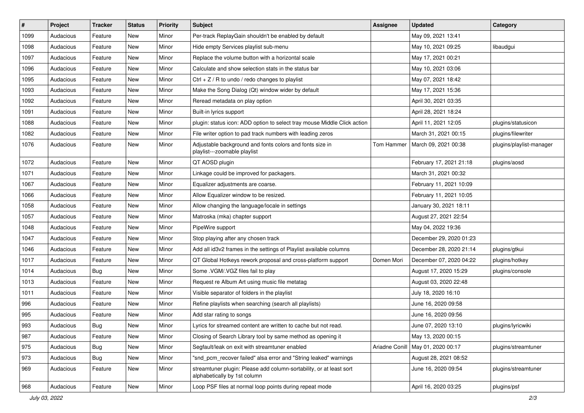| $\#$ | Project   | <b>Tracker</b> | <b>Status</b> | <b>Priority</b> | <b>Subject</b>                                                                                      | <b>Assignee</b> | <b>Updated</b>          | Category                 |
|------|-----------|----------------|---------------|-----------------|-----------------------------------------------------------------------------------------------------|-----------------|-------------------------|--------------------------|
| 1099 | Audacious | Feature        | New           | Minor           | Per-track ReplayGain shouldn't be enabled by default                                                |                 | May 09, 2021 13:41      |                          |
| 1098 | Audacious | Feature        | <b>New</b>    | Minor           | Hide empty Services playlist sub-menu                                                               |                 | May 10, 2021 09:25      | libaudgui                |
| 1097 | Audacious | Feature        | New           | Minor           | Replace the volume button with a horizontal scale                                                   |                 | May 17, 2021 00:21      |                          |
| 1096 | Audacious | Feature        | New           | Minor           | Calculate and show selection stats in the status bar                                                |                 | May 10, 2021 03:06      |                          |
| 1095 | Audacious | Feature        | New           | Minor           | Ctrl + $Z$ / R to undo / redo changes to playlist                                                   |                 | May 07, 2021 18:42      |                          |
| 1093 | Audacious | Feature        | New           | Minor           | Make the Song Dialog (Qt) window wider by default                                                   |                 | May 17, 2021 15:36      |                          |
| 1092 | Audacious | Feature        | New           | Minor           | Reread metadata on play option                                                                      |                 | April 30, 2021 03:35    |                          |
| 1091 | Audacious | Feature        | New           | Minor           | Built-in lyrics support                                                                             |                 | April 28, 2021 18:24    |                          |
| 1088 | Audacious | Feature        | New           | Minor           | plugin: status icon: ADD option to select tray mouse Middle Click action                            |                 | April 11, 2021 12:05    | plugins/statusicon       |
| 1082 | Audacious | Feature        | New           | Minor           | File writer option to pad track numbers with leading zeros                                          |                 | March 31, 2021 00:15    | plugins/filewriter       |
| 1076 | Audacious | Feature        | New           | Minor           | Adjustable background and fonts colors and fonts size in<br>playlist---zoomable playlist            | Tom Hammer      | March 09, 2021 00:38    | plugins/playlist-manager |
| 1072 | Audacious | Feature        | New           | Minor           | QT AOSD plugin                                                                                      |                 | February 17, 2021 21:18 | plugins/aosd             |
| 1071 | Audacious | Feature        | New           | Minor           | Linkage could be improved for packagers.                                                            |                 | March 31, 2021 00:32    |                          |
| 1067 | Audacious | Feature        | New           | Minor           | Equalizer adjustments are coarse.                                                                   |                 | February 11, 2021 10:09 |                          |
| 1066 | Audacious | Feature        | New           | Minor           | Allow Equalizer window to be resized.                                                               |                 | February 11, 2021 10:05 |                          |
| 1058 | Audacious | Feature        | New           | Minor           | Allow changing the language/locale in settings                                                      |                 | January 30, 2021 18:11  |                          |
| 1057 | Audacious | Feature        | New           | Minor           | Matroska (mka) chapter support                                                                      |                 | August 27, 2021 22:54   |                          |
| 1048 | Audacious | Feature        | New           | Minor           | PipeWire support                                                                                    |                 | May 04, 2022 19:36      |                          |
| 1047 | Audacious | Feature        | New           | Minor           | Stop playing after any chosen track                                                                 |                 | December 29, 2020 01:23 |                          |
| 1046 | Audacious | Feature        | New           | Minor           | Add all id3v2 frames in the settings of Playlist available columns                                  |                 | December 28, 2020 21:14 | plugins/gtkui            |
| 1017 | Audacious | Feature        | New           | Minor           | QT Global Hotkeys rework proposal and cross-platform support                                        | Domen Mori      | December 07, 2020 04:22 | plugins/hotkey           |
| 1014 | Audacious | <b>Bug</b>     | New           | Minor           | Some .VGM/.VGZ files fail to play                                                                   |                 | August 17, 2020 15:29   | plugins/console          |
| 1013 | Audacious | Feature        | New           | Minor           | Request re Album Art using music file metatag                                                       |                 | August 03, 2020 22:48   |                          |
| 1011 | Audacious | Feature        | New           | Minor           | Visible separator of folders in the playlist                                                        |                 | July 18, 2020 16:10     |                          |
| 996  | Audacious | Feature        | New           | Minor           | Refine playlists when searching (search all playlists)                                              |                 | June 16, 2020 09:58     |                          |
| 995  | Audacious | Feature        | New           | Minor           | Add star rating to songs                                                                            |                 | June 16, 2020 09:56     |                          |
| 993  | Audacious | <b>Bug</b>     | New           | Minor           | Lyrics for streamed content are written to cache but not read.                                      |                 | June 07, 2020 13:10     | plugins/lyricwiki        |
| 987  | Audacious | Feature        | New           | Minor           | Closing of Search Library tool by same method as opening it                                         |                 | May 13, 2020 00:15      |                          |
| 975  | Audacious | <b>Bug</b>     | New           | Minor           | Segfault/leak on exit with streamtuner enabled                                                      | Ariadne Conill  | May 01, 2020 00:17      | plugins/streamtuner      |
| 973  | Audacious | <b>Bug</b>     | New           | Minor           | "snd_pcm_recover failed" alsa error and "String leaked" warnings                                    |                 | August 28, 2021 08:52   |                          |
| 969  | Audacious | Feature        | New           | Minor           | streamtuner plugin: Please add column-sortability, or at least sort<br>alphabetically by 1st column |                 | June 16, 2020 09:54     | plugins/streamtuner      |
| 968  | Audacious | Feature        | New           | Minor           | Loop PSF files at normal loop points during repeat mode                                             |                 | April 16, 2020 03:25    | plugins/psf              |